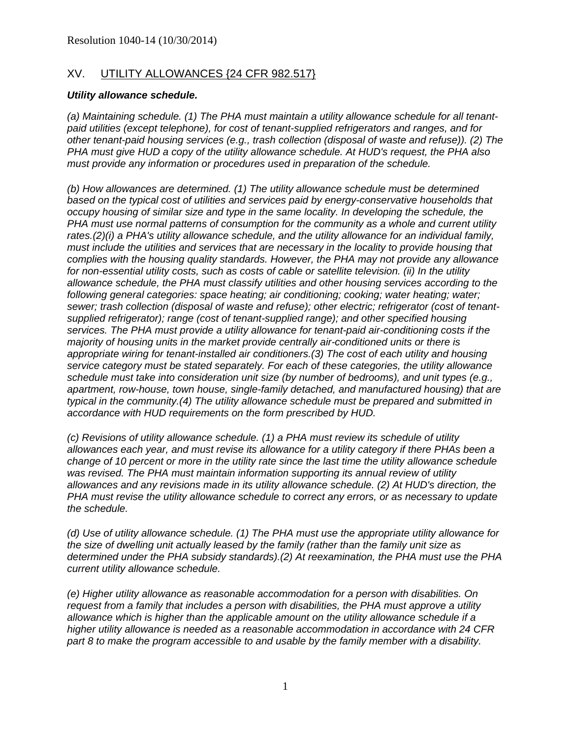### XV. UTILITY ALLOWANCES {24 CFR 982.517}

#### *Utility allowance schedule.*

*(a) Maintaining schedule. (1) The PHA must maintain a utility allowance schedule for all tenantpaid utilities (except telephone), for cost of tenant-supplied refrigerators and ranges, and for other tenant-paid housing services (e.g., trash collection (disposal of waste and refuse)). (2) The PHA must give HUD a copy of the utility allowance schedule. At HUD's request, the PHA also must provide any information or procedures used in preparation of the schedule.* 

*(b) How allowances are determined. (1) The utility allowance schedule must be determined based on the typical cost of utilities and services paid by energy-conservative households that occupy housing of similar size and type in the same locality. In developing the schedule, the PHA must use normal patterns of consumption for the community as a whole and current utility rates.(2)(i) a PHA's utility allowance schedule, and the utility allowance for an individual family, must include the utilities and services that are necessary in the locality to provide housing that complies with the housing quality standards. However, the PHA may not provide any allowance for non-essential utility costs, such as costs of cable or satellite television. (ii) In the utility allowance schedule, the PHA must classify utilities and other housing services according to the following general categories: space heating; air conditioning; cooking; water heating; water; sewer; trash collection (disposal of waste and refuse); other electric; refrigerator (cost of tenantsupplied refrigerator); range (cost of tenant-supplied range); and other specified housing services. The PHA must provide a utility allowance for tenant-paid air-conditioning costs if the majority of housing units in the market provide centrally air-conditioned units or there is appropriate wiring for tenant-installed air conditioners.(3) The cost of each utility and housing service category must be stated separately. For each of these categories, the utility allowance schedule must take into consideration unit size (by number of bedrooms), and unit types (e.g., apartment, row-house, town house, single-family detached, and manufactured housing) that are typical in the community.(4) The utility allowance schedule must be prepared and submitted in accordance with HUD requirements on the form prescribed by HUD.* 

*(c) Revisions of utility allowance schedule. (1) a PHA must review its schedule of utility allowances each year, and must revise its allowance for a utility category if there PHAs been a change of 10 percent or more in the utility rate since the last time the utility allowance schedule was revised. The PHA must maintain information supporting its annual review of utility allowances and any revisions made in its utility allowance schedule. (2) At HUD's direction, the PHA must revise the utility allowance schedule to correct any errors, or as necessary to update the schedule.* 

*(d) Use of utility allowance schedule. (1) The PHA must use the appropriate utility allowance for the size of dwelling unit actually leased by the family (rather than the family unit size as determined under the PHA subsidy standards).(2) At reexamination, the PHA must use the PHA current utility allowance schedule.* 

*(e) Higher utility allowance as reasonable accommodation for a person with disabilities. On request from a family that includes a person with disabilities, the PHA must approve a utility allowance which is higher than the applicable amount on the utility allowance schedule if a higher utility allowance is needed as a reasonable accommodation in accordance with 24 CFR part 8 to make the program accessible to and usable by the family member with a disability.*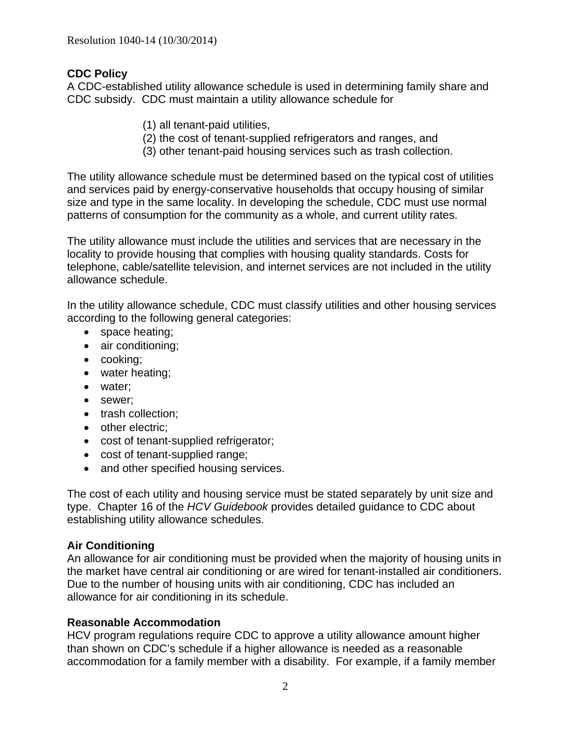# **CDC Policy**

A CDC-established utility allowance schedule is used in determining family share and CDC subsidy. CDC must maintain a utility allowance schedule for

- (1) all tenant-paid utilities,
- (2) the cost of tenant-supplied refrigerators and ranges, and
- (3) other tenant-paid housing services such as trash collection.

The utility allowance schedule must be determined based on the typical cost of utilities and services paid by energy-conservative households that occupy housing of similar size and type in the same locality. In developing the schedule, CDC must use normal patterns of consumption for the community as a whole, and current utility rates.

The utility allowance must include the utilities and services that are necessary in the locality to provide housing that complies with housing quality standards. Costs for telephone, cable/satellite television, and internet services are not included in the utility allowance schedule.

In the utility allowance schedule, CDC must classify utilities and other housing services according to the following general categories:

- space heating;
- air conditioning;
- cooking;
- water heating;
- water:
- sewer;
- trash collection;
- other electric;
- cost of tenant-supplied refrigerator;
- cost of tenant-supplied range;
- and other specified housing services.

The cost of each utility and housing service must be stated separately by unit size and type. Chapter 16 of the *HCV Guidebook* provides detailed guidance to CDC about establishing utility allowance schedules.

## **Air Conditioning**

An allowance for air conditioning must be provided when the majority of housing units in the market have central air conditioning or are wired for tenant-installed air conditioners. Due to the number of housing units with air conditioning, CDC has included an allowance for air conditioning in its schedule.

## **Reasonable Accommodation**

HCV program regulations require CDC to approve a utility allowance amount higher than shown on CDC's schedule if a higher allowance is needed as a reasonable accommodation for a family member with a disability. For example, if a family member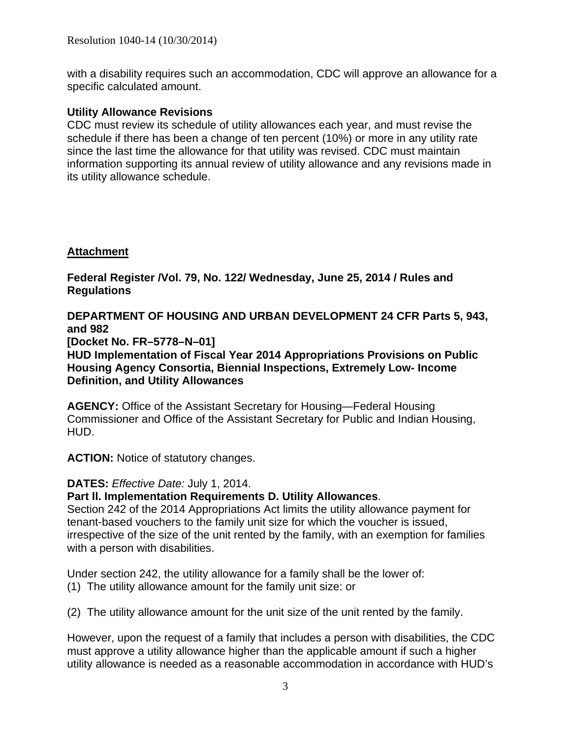with a disability requires such an accommodation, CDC will approve an allowance for a specific calculated amount.

### **Utility Allowance Revisions**

CDC must review its schedule of utility allowances each year, and must revise the schedule if there has been a change of ten percent (10%) or more in any utility rate since the last time the allowance for that utility was revised. CDC must maintain information supporting its annual review of utility allowance and any revisions made in its utility allowance schedule.

## **Attachment**

**Federal Register /Vol. 79, No. 122/ Wednesday, June 25, 2014 / Rules and Regulations** 

**DEPARTMENT OF HOUSING AND URBAN DEVELOPMENT 24 CFR Parts 5, 943, and 982** 

**[Docket No. FR–5778–N–01]** 

**HUD Implementation of Fiscal Year 2014 Appropriations Provisions on Public Housing Agency Consortia, Biennial Inspections, Extremely Low- Income Definition, and Utility Allowances** 

**AGENCY:** Office of the Assistant Secretary for Housing—Federal Housing Commissioner and Office of the Assistant Secretary for Public and Indian Housing, HUD.

**ACTION:** Notice of statutory changes.

#### **DATES:** *Effective Date:* July 1, 2014.

#### **Part ll. Implementation Requirements D. Utility Allowances**.

Section 242 of the 2014 Appropriations Act limits the utility allowance payment for tenant-based vouchers to the family unit size for which the voucher is issued, irrespective of the size of the unit rented by the family, with an exemption for families with a person with disabilities.

Under section 242, the utility allowance for a family shall be the lower of:

(1) The utility allowance amount for the family unit size: or

(2) The utility allowance amount for the unit size of the unit rented by the family.

However, upon the request of a family that includes a person with disabilities, the CDC must approve a utility allowance higher than the applicable amount if such a higher utility allowance is needed as a reasonable accommodation in accordance with HUD's